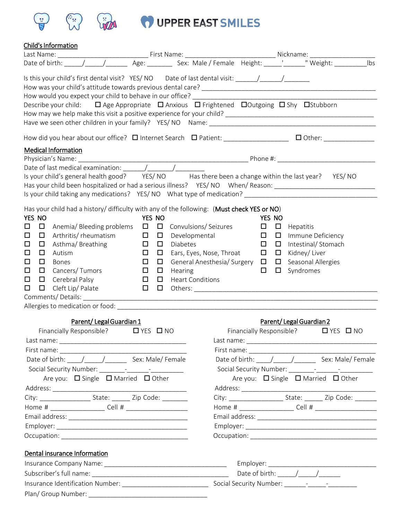

| Child's Information |
|---------------------|
| Last Name:          |

|                                                                                                                                                                                                                                                                                                                                     |                                                                                                  |                                                                                                  |                                                                                         |                          |                                                                                                                                              |                                                                                     | Ibs |
|-------------------------------------------------------------------------------------------------------------------------------------------------------------------------------------------------------------------------------------------------------------------------------------------------------------------------------------|--------------------------------------------------------------------------------------------------|--------------------------------------------------------------------------------------------------|-----------------------------------------------------------------------------------------|--------------------------|----------------------------------------------------------------------------------------------------------------------------------------------|-------------------------------------------------------------------------------------|-----|
| Is this your child's first dental visit? YES/NO Date of last dental visit: ______/______/__________                                                                                                                                                                                                                                 |                                                                                                  |                                                                                                  |                                                                                         |                          |                                                                                                                                              |                                                                                     |     |
| Describe your child: □ Age Appropriate □ Anxious □ Frightened □ Outgoing □ Shy □ Stubborn                                                                                                                                                                                                                                           |                                                                                                  |                                                                                                  |                                                                                         |                          |                                                                                                                                              |                                                                                     |     |
|                                                                                                                                                                                                                                                                                                                                     |                                                                                                  |                                                                                                  |                                                                                         |                          |                                                                                                                                              |                                                                                     |     |
|                                                                                                                                                                                                                                                                                                                                     |                                                                                                  |                                                                                                  |                                                                                         |                          |                                                                                                                                              |                                                                                     |     |
|                                                                                                                                                                                                                                                                                                                                     |                                                                                                  |                                                                                                  |                                                                                         |                          |                                                                                                                                              |                                                                                     |     |
| <b>Medical Information</b>                                                                                                                                                                                                                                                                                                          |                                                                                                  |                                                                                                  |                                                                                         |                          |                                                                                                                                              |                                                                                     |     |
|                                                                                                                                                                                                                                                                                                                                     |                                                                                                  |                                                                                                  |                                                                                         |                          |                                                                                                                                              |                                                                                     |     |
| Is your child's general health good? YES/NO Has there been a change within the last year? YES/NO<br>Has your child been hospitalized or had a serious illness? YES/NO When/Reason: _______________________________                                                                                                                  |                                                                                                  |                                                                                                  |                                                                                         |                          |                                                                                                                                              |                                                                                     |     |
|                                                                                                                                                                                                                                                                                                                                     |                                                                                                  |                                                                                                  |                                                                                         |                          |                                                                                                                                              |                                                                                     |     |
| Has your child had a history/ difficulty with any of the following: (Must check YES or NO)<br>YES NO<br>$\Box$<br>$\Box$<br>$\Box$<br>$\Box$<br>$\Box$<br>$\Box$<br>$\Box$<br>$\Box$<br>Autism<br>$\Box$<br>$\Box$<br>Bones<br>Cancers/Tumors<br>□<br>$\Box$<br>$\Box$<br>$\Box$ Cerebral Palsy<br>Cleft Lip/ Palate<br>□<br>$\Box$ | Anemia/Bleeding problems $\Box$ $\Box$<br>Arthritis/rheumatism $\Box$ $\Box$<br>Asthma/Breathing | YES NO<br>$\Box$<br>$\Box$<br>$\Box$<br>$\Box$<br>$\Box$<br>$\Box$<br>$\Box$<br>$\Box$<br>$\Box$ | Convulsions/Seizures<br>Developmental<br>Diabetes<br>Hearing<br>$\Box$ Heart Conditions | Ears, Eyes, Nose, Throat | YES NO<br>$\Box$ $\Box$<br>Hepatitis<br>$\Box$ $\Box$<br>General Anesthesia/ Surgery □ □ Seasonal Allergies<br>$\square$ $\square$ Syndromes | $\Box$ $\Box$ Immune Deficiency<br>$\Box$ $\Box$ Intestinal/Stomach<br>Kidney/Liver |     |
|                                                                                                                                                                                                                                                                                                                                     | Parent/Legal Guardian 1                                                                          |                                                                                                  |                                                                                         |                          | Parent/Legal Guardian 2                                                                                                                      |                                                                                     |     |
|                                                                                                                                                                                                                                                                                                                                     | Financially Responsible? $\Box$ YES $\Box$ NO                                                    |                                                                                                  |                                                                                         |                          |                                                                                                                                              | Financially Responsible? $\Box$ YES $\Box$ NO                                       |     |
|                                                                                                                                                                                                                                                                                                                                     |                                                                                                  |                                                                                                  |                                                                                         |                          |                                                                                                                                              |                                                                                     |     |
|                                                                                                                                                                                                                                                                                                                                     |                                                                                                  |                                                                                                  |                                                                                         |                          |                                                                                                                                              |                                                                                     |     |
| Date of birth: / / / Sex: Male/Female                                                                                                                                                                                                                                                                                               |                                                                                                  |                                                                                                  |                                                                                         |                          |                                                                                                                                              |                                                                                     |     |
|                                                                                                                                                                                                                                                                                                                                     |                                                                                                  |                                                                                                  |                                                                                         |                          |                                                                                                                                              |                                                                                     |     |
|                                                                                                                                                                                                                                                                                                                                     | Are you: $\Box$ Single $\Box$ Married $\Box$ Other                                               |                                                                                                  |                                                                                         |                          |                                                                                                                                              | Are you: $\Box$ Single $\Box$ Married $\Box$ Other                                  |     |
| City: _________________________ State: ________ Zip Code: __________                                                                                                                                                                                                                                                                |                                                                                                  |                                                                                                  |                                                                                         |                          |                                                                                                                                              | City: _________________________________ State: ___________ Zip Code: ___________    |     |
| Home # _____________________ Cell # ______________________                                                                                                                                                                                                                                                                          |                                                                                                  |                                                                                                  |                                                                                         |                          |                                                                                                                                              | Home # _____________________ Cell # ______________________                          |     |
|                                                                                                                                                                                                                                                                                                                                     |                                                                                                  |                                                                                                  |                                                                                         |                          |                                                                                                                                              |                                                                                     |     |
|                                                                                                                                                                                                                                                                                                                                     |                                                                                                  |                                                                                                  |                                                                                         |                          |                                                                                                                                              |                                                                                     |     |
|                                                                                                                                                                                                                                                                                                                                     |                                                                                                  |                                                                                                  |                                                                                         |                          |                                                                                                                                              |                                                                                     |     |
| Dental insurance Information                                                                                                                                                                                                                                                                                                        |                                                                                                  |                                                                                                  |                                                                                         |                          |                                                                                                                                              |                                                                                     |     |
|                                                                                                                                                                                                                                                                                                                                     |                                                                                                  |                                                                                                  |                                                                                         |                          |                                                                                                                                              |                                                                                     |     |
|                                                                                                                                                                                                                                                                                                                                     |                                                                                                  |                                                                                                  |                                                                                         |                          | Date of birth: $\frac{1}{\sqrt{2}}$                                                                                                          |                                                                                     |     |
|                                                                                                                                                                                                                                                                                                                                     |                                                                                                  |                                                                                                  |                                                                                         |                          |                                                                                                                                              |                                                                                     |     |
|                                                                                                                                                                                                                                                                                                                                     |                                                                                                  |                                                                                                  |                                                                                         |                          |                                                                                                                                              |                                                                                     |     |